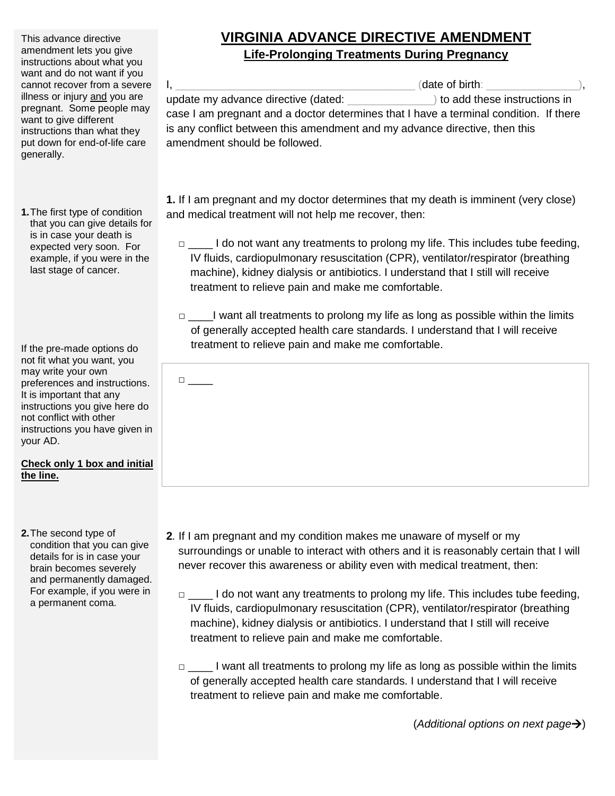This advance directive amendment lets you give instructions about what you want and do not want if you cannot recover from a severe illness or injury and you are pregnant. Some people may want to give different instructions than what they put down for end-of-life care generally.

**1.**The first type of condition that you can give details for is in case your death is expected very soon. For example, if you were in the last stage of cancer.

If the pre-made options do not fit what you want, you may write your own preferences and instructions. It is important that any instructions you give here do not conflict with other instructions you have given in your AD.

□ \_\_\_\_

## **Check only 1 box and initial the line.**

**2.**The second type of condition that you can give details for is in case your brain becomes severely and permanently damaged. For example, if you were in a permanent coma.

## **VIRGINIA ADVANCE DIRECTIVE AMENDMENT Life-Prolonging Treatments During Pregnancy**

 $I,$ update my advance directive (dated:  $\qquad \qquad$  ) to add these instructions in case I am pregnant and a doctor determines that I have a terminal condition. If there is any conflict between this amendment and my advance directive, then this amendment should be followed.

**1.** If I am pregnant and my doctor determines that my death is imminent (very close) and medical treatment will not help me recover, then:

- □ \_\_\_\_\_ I do not want any treatments to prolong my life. This includes tube feeding, IV fluids, cardiopulmonary resuscitation (CPR), ventilator/respirator (breathing machine), kidney dialysis or antibiotics. I understand that I still will receive treatment to relieve pain and make me comfortable.
- □ I want all treatments to prolong my life as long as possible within the limits of generally accepted health care standards. I understand that I will receive treatment to relieve pain and make me comfortable.

- **2***.* If I am pregnant and my condition makes me unaware of myself or my surroundings or unable to interact with others and it is reasonably certain that I will never recover this awareness or ability even with medical treatment, then:
	- □ \_\_\_\_ I do not want any treatments to prolong my life. This includes tube feeding, IV fluids, cardiopulmonary resuscitation (CPR), ventilator/respirator (breathing machine), kidney dialysis or antibiotics. I understand that I still will receive treatment to relieve pain and make me comfortable.
	- □ \_\_\_\_ I want all treatments to prolong my life as long as possible within the limits of generally accepted health care standards. I understand that I will receive treatment to relieve pain and make me comfortable.

(*Additional options on next page*)